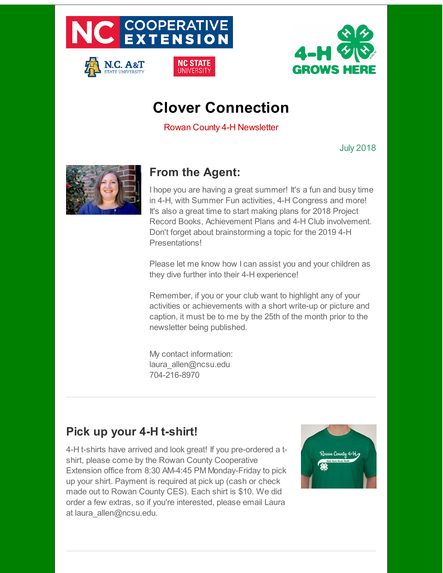

N.C. A&T



# **Clover Connection**

Rowan County 4-H Newsletter

July 2018



## **From the Agent:**

I hope you are having a great summer! It's a fun and busy time in 4-H, with Summer Fun activities, 4-H Congress and more! It's also a great time to start making plans for 2018 Project Record Books, Achievement Plans and 4-H Club involvement. Don't forget about brainstorming a topic for the 2019 4-H Presentations!

Please let me know how I can assist you and your children as they dive further into their 4-H experience!

Remember, if you or your club want to highlight any of your activities or achievements with a short write-up or picture and caption, it must be to me by the 25th of the month prior to the newsletter being published.

My contact information: laura allen@ncsu.edu 704-216-8970

## **Pick up your 4-H t-shirt!**

4-H t-shirts have arrived and look great! If you pre-ordered a tshirt, please come by the Rowan County Cooperative Extension office from 8:30 AM-4:45 PM Monday-Friday to pick up your shirt. Payment is required at pick up (cash or check made out to Rowan County CES). Each shirt is \$10. We did order a few extras, so if you're interested, please email Laura at laura allen@ncsu.edu.

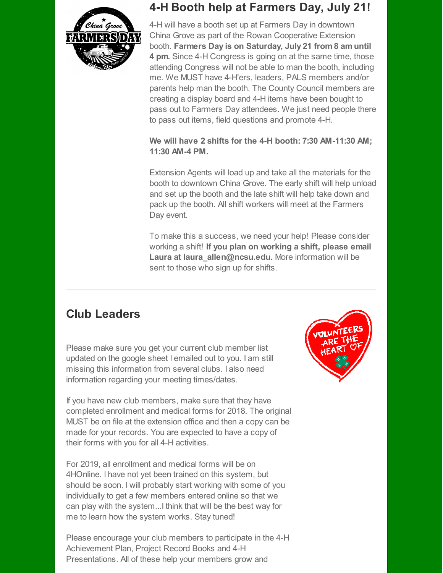

### **4-H Booth help at Farmers Day, July 21!**

4-H will have a booth set up at Farmers Day in downtown China Grove as part of the Rowan Cooperative Extension booth. **Farmers Day is on Saturday, July 21 from 8 am until 4 pm.** Since 4-H Congress is going on at the same time, those attending Congress will not be able to man the booth, including me. We MUST have 4-H'ers, leaders, PALS members and/or parents help man the booth. The County Council members are creating a display board and 4-H items have been bought to pass out to Farmers Day attendees. We just need people there to pass out items, field questions and promote 4-H.

#### **We will have 2 shifts for the 4-H booth: 7:30 AM-11:30 AM; 11:30 AM-4 PM.**

Extension Agents will load up and take all the materials for the booth to downtown China Grove. The early shift will help unload and set up the booth and the late shift will help take down and pack up the booth. All shift workers will meet at the Farmers Day event.

To make this a success, we need your help! Please consider working a shift! **If you plan on working a shift, please email Laura at laura\_allen@ncsu.edu.** More information will be sent to those who sign up for shifts.

## **Club Leaders**

Please make sure you get your current club member list updated on the google sheet I emailed out to you. I am still missing this information from several clubs. I also need information regarding your meeting times/dates.

If you have new club members, make sure that they have completed enrollment and medical forms for 2018. The original MUST be on file at the extension office and then a copy can be made for your records. You are expected to have a copy of their forms with you for all 4-H activities.

For 2019, all enrollment and medical forms will be on 4HOnline. I have not yet been trained on this system, but should be soon. I will probably start working with some of you individually to get a few members entered online so that we can play with the system...I think that will be the best way for me to learn how the system works. Stay tuned!

Please encourage your club members to participate in the 4-H Achievement Plan, Project Record Books and 4-H Presentations. All of these help your members grow and

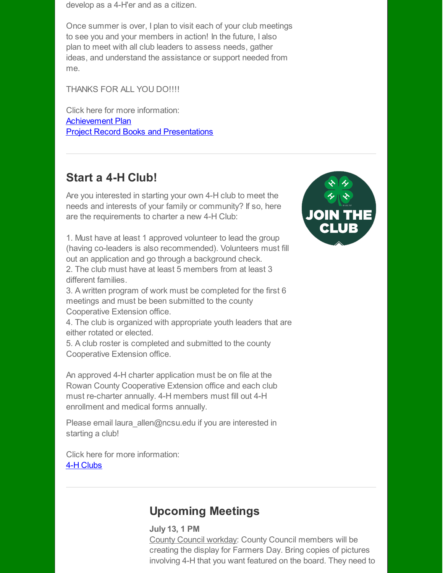develop as a 4-H'er and as a citizen.

Once summer is over, I plan to visit each of your club meetings to see you and your members in action! In the future, I also plan to meet with all club leaders to assess needs, gather ideas, and understand the assistance or support needed from me.

THANKS FOR ALL YOU DO!!!!

Click here for more information: [Achievement](http://r20.rs6.net/tn.jsp?f=001Rs-UyAysO1dfE9ByN8RQIDuURx-nZ3s44jgJ2xvZy2_EMqWy7IoYLH_vSimdVIWESUUwLiUfk2Qi8IA0d7V401EHgVZ8RrZ20DCZBs9v_G56WX4LJPPft9hPq9P4hNUqcmOK5lZxjhXXQbnQbDWpt_aoffVehqPwkCKUeZT7fj7y17mgGvGKkrqCroGQzGEpmBcss3AkrAPZm_jM_4iwImC6xjvZvLCMifeBSv9ICEnAgYSAOZUzK6IJhCLnHvA7Be2Mn8hRz4w=&c=&ch=) Plan Project Record Books and [Presentations](http://r20.rs6.net/tn.jsp?f=001Rs-UyAysO1dfE9ByN8RQIDuURx-nZ3s44jgJ2xvZy2_EMqWy7IoYLH_vSimdVIWEzWVjZd0F9hY52nS3zKdXefXFFW3uU2fJYhvo_Sibfg1G1C4KyFbiXmqkWTKOoyQ9gvcUI9UoQipMi3DcsA03OS4Mmc6Qi-91SJE_tJERYqInGANzWyTCaNZm_NiTgj_jbdVCEEKTE1_Yq3JSN5l2NWlDberqIV7qFFx6OuadJtQ=&c=&ch=)

### **Start a 4-H Club!**

Are you interested in starting your own 4-H club to meet the needs and interests of your family or community? If so, here are the requirements to charter a new 4-H Club:

1. Must have at least 1 approved volunteer to lead the group (having co-leaders is also recommended). Volunteers must fill out an application and go through a background check.

2. The club must have at least 5 members from at least 3 different families.

3. A written program of work must be completed for the first 6 meetings and must be been submitted to the county Cooperative Extension office.

4. The club is organized with appropriate youth leaders that are either rotated or elected.

5. A club roster is completed and submitted to the county Cooperative Extension office.

An approved 4-H charter application must be on file at the Rowan County Cooperative Extension office and each club must re-charter annually. 4-H members must fill out 4-H enrollment and medical forms annually.

Please email laura allen@ncsu.edu if you are interested in starting a club!

Click here for more information: 4-H [Clubs](http://r20.rs6.net/tn.jsp?f=001Rs-UyAysO1dfE9ByN8RQIDuURx-nZ3s44jgJ2xvZy2_EMqWy7IoYLH_vSimdVIWEWpDRmECIk4lFFZY6Tv8iSw_Bh2YpFsEdxERDUiNKpDH3s1AMrTZ930aJX4iYiUFYRQDonhl47AQxR7fctTXuMO7qovkHYysstWds149DAkqenHDST7oduGf4QzMWwEJBpnwN95L2hRmqJWgfBSoeXcHbQ5X87q8Nsx-MceVRaRYhULENysIulwFDJSjy2xf3MyPB3tHFe-I=&c=&ch=)

## **Upcoming Meetings**

### **July 13, 1 PM**

County Council workday: County Council members will be creating the display for Farmers Day. Bring copies of pictures involving 4-H that you want featured on the board. They need to

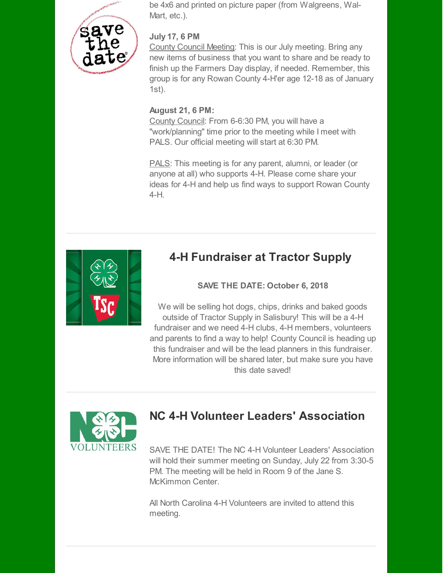

be 4x6 and printed on picture paper (from Walgreens, Wal-Mart, etc.).

#### **July 17, 6 PM**

County Council Meeting: This is our July meeting. Bring any new items of business that you want to share and be ready to finish up the Farmers Day display, if needed. Remember, this group is for any Rowan County 4-H'er age 12-18 as of January 1st).

#### **August 21, 6 PM:**

County Council: From 6-6:30 PM, you will have a "work/planning" time prior to the meeting while I meet with PALS. Our official meeting will start at 6:30 PM.

PALS: This meeting is for any parent, alumni, or leader (or anyone at all) who supports 4-H. Please come share your ideas for 4-H and help us find ways to support Rowan County 4-H.



## **4-H Fundraiser at Tractor Supply**

#### **SAVE THE DATE: October 6, 2018**

We will be selling hot dogs, chips, drinks and baked goods outside of Tractor Supply in Salisbury! This will be a 4-H fundraiser and we need 4-H clubs, 4-H members, volunteers and parents to find a way to help! County Council is heading up this fundraiser and will be the lead planners in this fundraiser. More information will be shared later, but make sure you have this date saved!



## **NC 4-H Volunteer Leaders' Association**

SAVE THE DATE! The NC 4-H Volunteer Leaders' Association will hold their summer meeting on Sunday, July 22 from 3:30-5 PM. The meeting will be held in Room 9 of the Jane S. McKimmon Center.

All North Carolina 4-H Volunteers are invited to attend this meeting.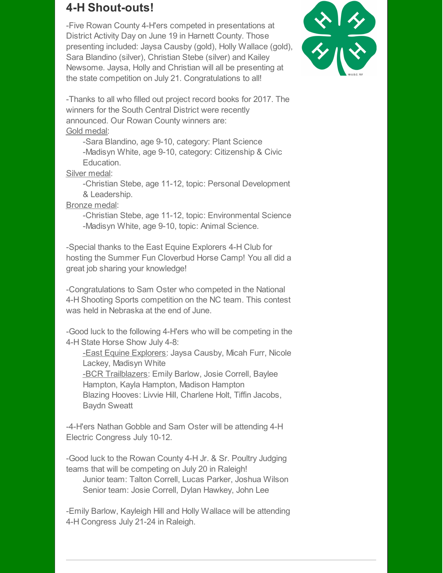### **4-H Shout-outs!**

-Five Rowan County 4-H'ers competed in presentations at District Activity Day on June 19 in Harnett County. Those presenting included: Jaysa Causby (gold), Holly Wallace (gold), Sara Blandino (silver), Christian Stebe (silver) and Kailey Newsome. Jaysa, Holly and Christian will all be presenting at the state competition on July 21. Congratulations to all!



-Thanks to all who filled out project record books for 2017. The winners for the South Central District were recently announced. Our Rowan County winners are: Gold medal:

-Sara Blandino, age 9-10, category: Plant Science -Madisyn White, age 9-10, category: Citizenship & Civic

Education.

Silver medal:

-Christian Stebe, age 11-12, topic: Personal Development & Leadership.

Bronze medal:

-Christian Stebe, age 11-12, topic: Environmental Science -Madisyn White, age 9-10, topic: Animal Science.

-Special thanks to the East Equine Explorers 4-H Club for hosting the Summer Fun Cloverbud Horse Camp! You all did a great job sharing your knowledge!

-Congratulations to Sam Oster who competed in the National 4-H Shooting Sports competition on the NC team. This contest was held in Nebraska at the end of June.

-Good luck to the following 4-H'ers who will be competing in the 4-H State Horse Show July 4-8:

-East Equine Explorers: Jaysa Causby, Micah Furr, Nicole Lackey, Madisyn White -BCR Trailblazers: Emily Barlow, Josie Correll, Baylee Hampton, Kayla Hampton, Madison Hampton Blazing Hooves: Livvie Hill, Charlene Holt, Tiffin Jacobs,

Baydn Sweatt

-4-H'ers Nathan Gobble and Sam Oster will be attending 4-H Electric Congress July 10-12.

-Good luck to the Rowan County 4-H Jr. & Sr. Poultry Judging teams that will be competing on July 20 in Raleigh! Junior team: Talton Correll, Lucas Parker, Joshua Wilson Senior team: Josie Correll, Dylan Hawkey, John Lee

-Emily Barlow, Kayleigh Hill and Holly Wallace will be attending 4-H Congress July 21-24 in Raleigh.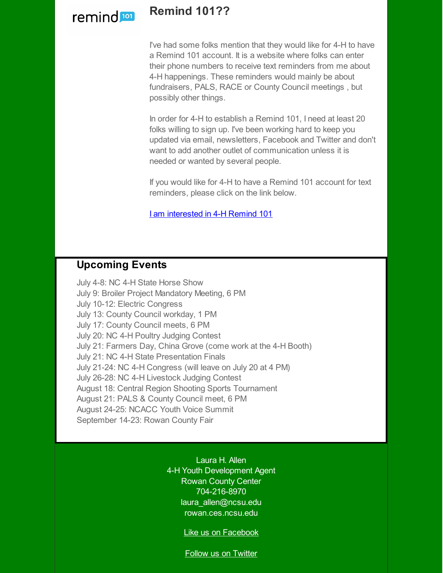

### **Remind 101??**

I've had some folks mention that they would like for 4-H to have a Remind 101 account. It is a website where folks can enter their phone numbers to receive text reminders from me about 4-H happenings. These reminders would mainly be about fundraisers, PALS, RACE or County Council meetings , but possibly other things.

In order for 4-H to establish a Remind 101, I need at least 20 folks willing to sign up. I've been working hard to keep you updated via email, newsletters, Facebook and Twitter and don't want to add another outlet of communication unless it is needed or wanted by several people.

If you would like for 4-H to have a Remind 101 account for text reminders, please click on the link below.

I am [interested](http://r20.rs6.net/tn.jsp?f=001Rs-UyAysO1dfE9ByN8RQIDuURx-nZ3s44jgJ2xvZy2_EMqWy7IoYLH_vSimdVIWE02qAOmFJWb2VjsdkX4pNPLNelfr8RwVCIntDanwXjPTs6g2wMixj6982HXsRT42r2l8i6-QHMdLnwuGZOb9soPOv77ek7VRQ6P4cZmmznAHUpc3RRCr2VSnOhhkHWlQl&c=&ch=) in 4-H Remind 101

### **Upcoming Events**

July 4-8: NC 4-H State Horse Show July 9: Broiler Project Mandatory Meeting, 6 PM July 10-12: Electric Congress July 13: County Council workday, 1 PM July 17: County Council meets, 6 PM July 20: NC 4-H Poultry Judging Contest July 21: Farmers Day, China Grove (come work at the 4-H Booth) July 21: NC 4-H State Presentation Finals July 21-24: NC 4-H Congress (will leave on July 20 at 4 PM) July 26-28: NC 4-H Livestock Judging Contest August 18: Central Region Shooting Sports Tournament August 21: PALS & County Council meet, 6 PM August 24-25: NCACC Youth Voice Summit September 14-23: Rowan County Fair

> Laura H. Allen 4-H Youth Development Agent Rowan County Center 704-216-8970 laura\_allen@ncsu.edu rowan.ces.ncsu.edu

> > Like us on [Facebook](http://r20.rs6.net/tn.jsp?f=001Rs-UyAysO1dfE9ByN8RQIDuURx-nZ3s44jgJ2xvZy2_EMqWy7IoYLHYrqbiYFfSb8BWKH77WKUhfFoUdhI4pDDurZIoumQpt7b5-sSYtKQ9BxeWyTeWGoy5Csc03DwdMzqI3KEHvq6cChSp-vM0incj6NW2PVrZyvisM0AhxvB0upFau2wnM__MQo_CDfWZs&c=&ch=)

Follow us on [Twitter](http://r20.rs6.net/tn.jsp?f=001Rs-UyAysO1dfE9ByN8RQIDuURx-nZ3s44jgJ2xvZy2_EMqWy7IoYLHYrqbiYFfSbc1iIZ2dY4ICtzrf_39B-g5KrPffwXVFL7Iy9jzewx_uwD_zc-ua6Ij8LuJ4MPi13MtliLIhTdJRVuA_TWC7yEPKmILVla4r9CTKPGw8I6oKrfF7tvlS-CA==&c=&ch=)